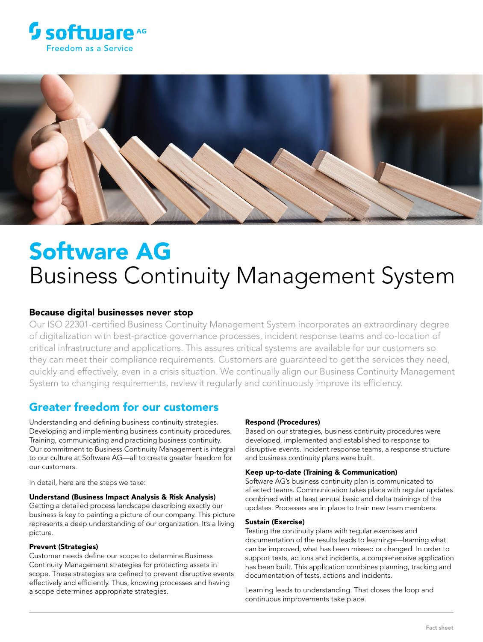



# Software AG Business Continuity Management System

## Because digital businesses never stop

Our ISO 22301-certified Business Continuity Management System incorporates an extraordinary degree of digitalization with best-practice governance processes, incident response teams and co-location of critical infrastructure and applications. This assures critical systems are available for our customers so they can meet their compliance requirements. Customers are guaranteed to get the services they need, quickly and effectively, even in a crisis situation. We continually align our Business Continuity Management System to changing requirements, review it regularly and continuously improve its efficiency.

## Greater freedom for our customers

Understanding and defining business continuity strategies. Developing and implementing business continuity procedures. Training, communicating and practicing business continuity. Our commitment to Business Continuity Management is integral to our culture at Software AG—all to create greater freedom for our customers.

In detail, here are the steps we take:

#### Understand (Business Impact Analysis & Risk Analysis)

Getting a detailed process landscape describing exactly our business is key to painting a picture of our company. This picture represents a deep understanding of our organization. It's a living picture.

#### Prevent (Strategies)

Customer needs define our scope to determine Business Continuity Management strategies for protecting assets in scope. These strategies are defined to prevent disruptive events effectively and efficiently. Thus, knowing processes and having a scope determines appropriate strategies.

#### Respond (Procedures)

Based on our strategies, business continuity procedures were developed, implemented and established to response to disruptive events. Incident response teams, a response structure and business continuity plans were built.

#### Keep up-to-date (Training & Communication)

Software AG's business continuity plan is communicated to affected teams. Communication takes place with regular updates combined with at least annual basic and delta trainings of the updates. Processes are in place to train new team members.

#### Sustain (Exercise)

Testing the continuity plans with regular exercises and documentation of the results leads to learnings—learning what can be improved, what has been missed or changed. In order to support tests, actions and incidents, a comprehensive application has been built. This application combines planning, tracking and documentation of tests, actions and incidents.

Learning leads to understanding. That closes the loop and continuous improvements take place.